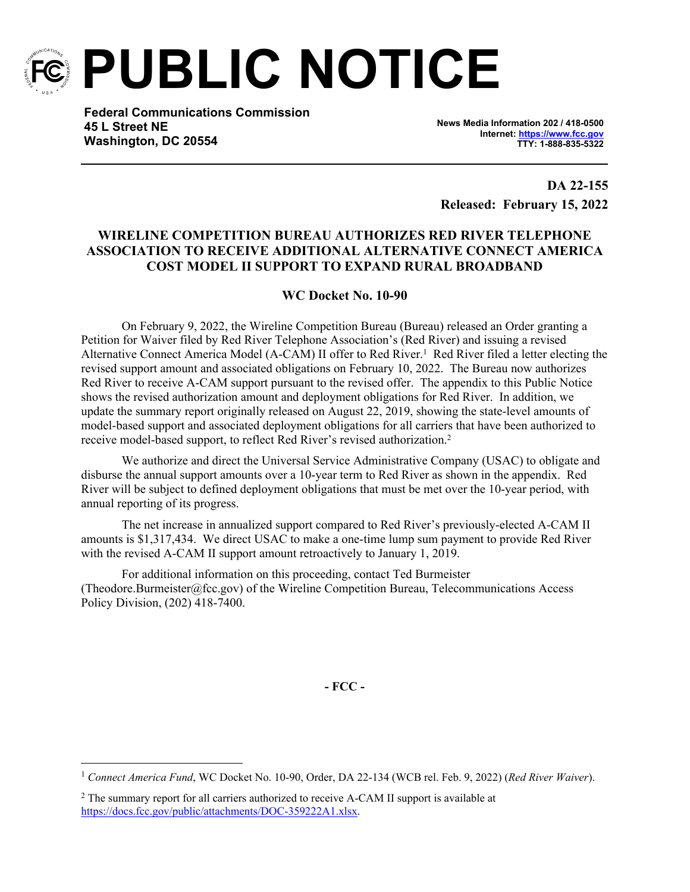

**PUBLIC NOTICE**

**Federal Communications Commission 45 L Street NE Washington, DC 20554**

**News Media Information 202 / 418-0500 Internet:<https://www.fcc.gov> TTY: 1-888-835-5322**

**DA 22-155 Released: February 15, 2022**

## **WIRELINE COMPETITION BUREAU AUTHORIZES RED RIVER TELEPHONE ASSOCIATION TO RECEIVE ADDITIONAL ALTERNATIVE CONNECT AMERICA COST MODEL II SUPPORT TO EXPAND RURAL BROADBAND**

## **WC Docket No. 10-90**

On February 9, 2022, the Wireline Competition Bureau (Bureau) released an Order granting a Petition for Waiver filed by Red River Telephone Association's (Red River) and issuing a revised Alternative Connect America Model (A-CAM) II offer to Red River.<sup>1</sup> Red River filed a letter electing the revised support amount and associated obligations on February 10, 2022. The Bureau now authorizes Red River to receive A-CAM support pursuant to the revised offer. The appendix to this Public Notice shows the revised authorization amount and deployment obligations for Red River. In addition, we update the summary report originally released on August 22, 2019, showing the state-level amounts of model-based support and associated deployment obligations for all carriers that have been authorized to receive model-based support, to reflect Red River's revised authorization.<sup>2</sup>

We authorize and direct the Universal Service Administrative Company (USAC) to obligate and disburse the annual support amounts over a 10-year term to Red River as shown in the appendix. Red River will be subject to defined deployment obligations that must be met over the 10-year period, with annual reporting of its progress.

The net increase in annualized support compared to Red River's previously-elected A-CAM II amounts is \$1,317,434. We direct USAC to make a one-time lump sum payment to provide Red River with the revised A-CAM II support amount retroactively to January 1, 2019.

For additional information on this proceeding, contact Ted Burmeister (Theodore.Burmeister@fcc.gov) of the Wireline Competition Bureau, Telecommunications Access Policy Division, (202) 418-7400.

**- FCC -**

<sup>1</sup> *Connect America Fund*, WC Docket No. 10-90, Order, DA 22-134 (WCB rel. Feb. 9, 2022) (*Red River Waiver*).

<sup>&</sup>lt;sup>2</sup> The summary report for all carriers authorized to receive A-CAM II support is available at <https://docs.fcc.gov/public/attachments/DOC-359222A1.xlsx>.